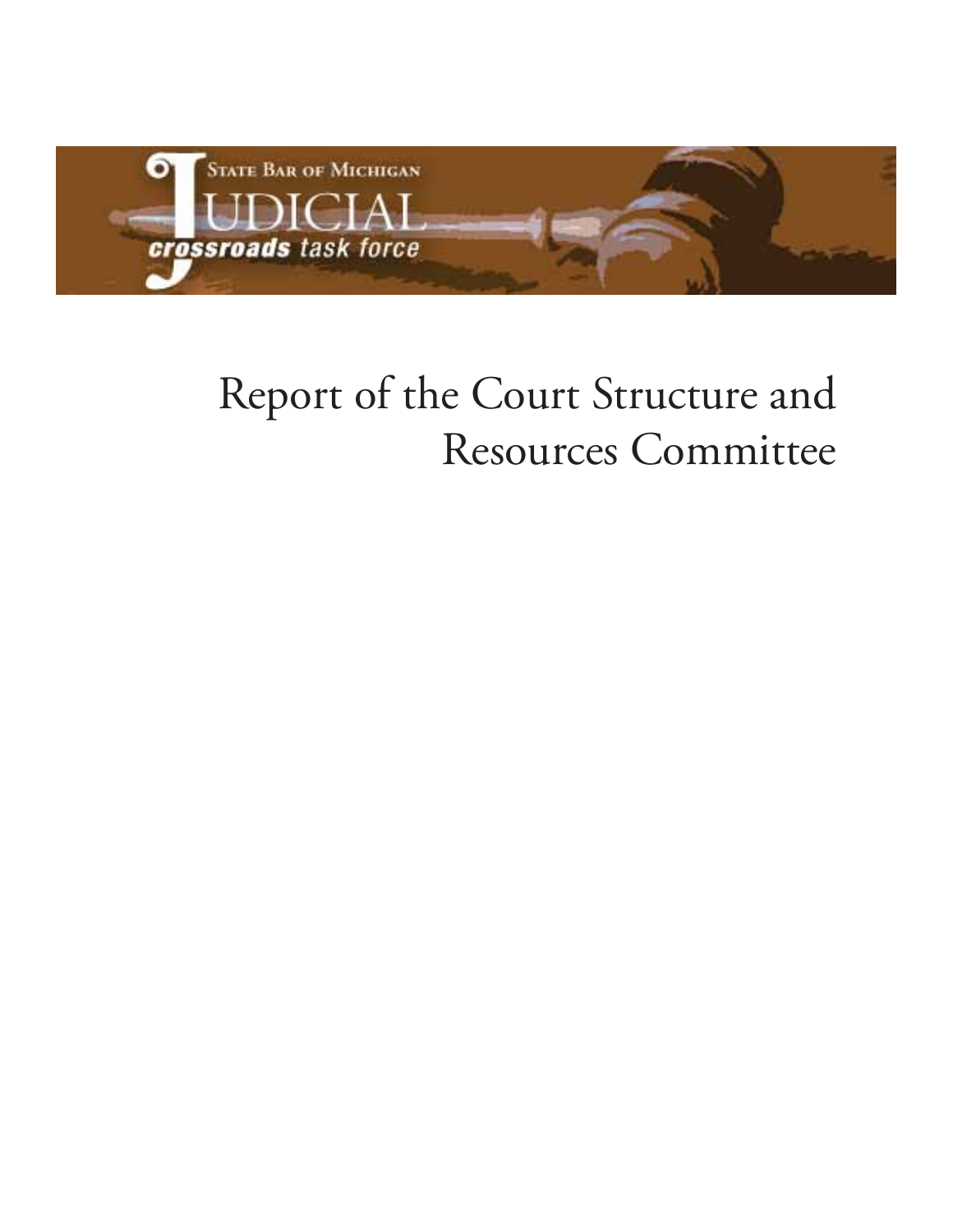

## Report of the Court Structure and Resources Committee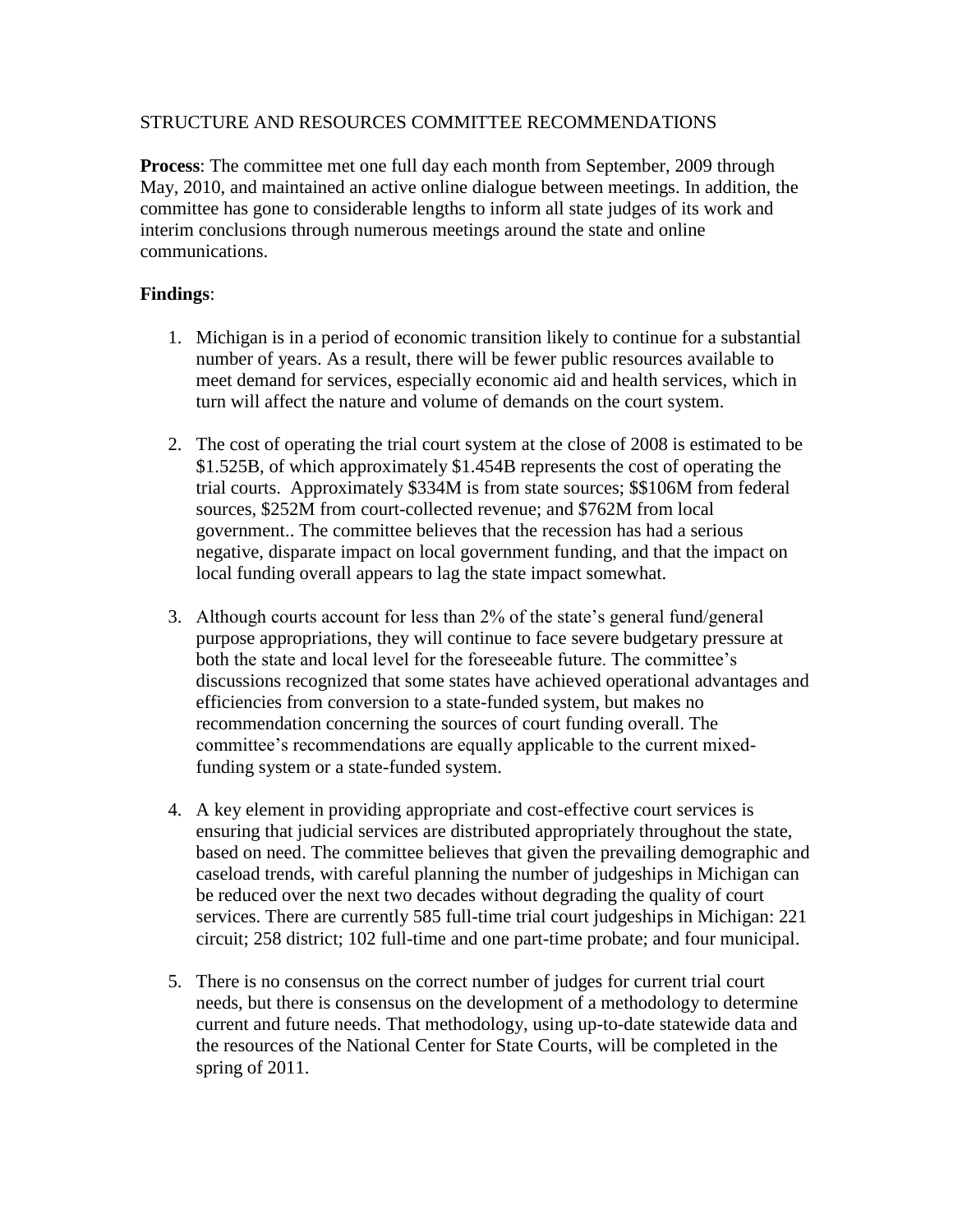## STRUCTURE AND RESOURCES COMMITTEE RECOMMENDATIONS

**Process**: The committee met one full day each month from September, 2009 through May, 2010, and maintained an active online dialogue between meetings. In addition, the committee has gone to considerable lengths to inform all state judges of its work and interim conclusions through numerous meetings around the state and online communications.

## **Findings**:

- 1. Michigan is in a period of economic transition likely to continue for a substantial number of years. As a result, there will be fewer public resources available to meet demand for services, especially economic aid and health services, which in turn will affect the nature and volume of demands on the court system.
- 2. The cost of operating the trial court system at the close of 2008 is estimated to be \$1.525B, of which approximately \$1.454B represents the cost of operating the trial courts. Approximately \$334M is from state sources; \$\$106M from federal sources, \$252M from court-collected revenue; and \$762M from local government.. The committee believes that the recession has had a serious negative, disparate impact on local government funding, and that the impact on local funding overall appears to lag the state impact somewhat.
- 3. Although courts account for less than 2% of the state's general fund/general purpose appropriations, they will continue to face severe budgetary pressure at both the state and local level for the foreseeable future. The committee's discussions recognized that some states have achieved operational advantages and efficiencies from conversion to a state-funded system, but makes no recommendation concerning the sources of court funding overall. The committee's recommendations are equally applicable to the current mixedfunding system or a state-funded system.
- 4. A key element in providing appropriate and cost-effective court services is ensuring that judicial services are distributed appropriately throughout the state, based on need. The committee believes that given the prevailing demographic and caseload trends, with careful planning the number of judgeships in Michigan can be reduced over the next two decades without degrading the quality of court services. There are currently 585 full-time trial court judgeships in Michigan: 221 circuit; 258 district; 102 full-time and one part-time probate; and four municipal.
- 5. There is no consensus on the correct number of judges for current trial court needs, but there is consensus on the development of a methodology to determine current and future needs. That methodology, using up-to-date statewide data and the resources of the National Center for State Courts, will be completed in the spring of 2011.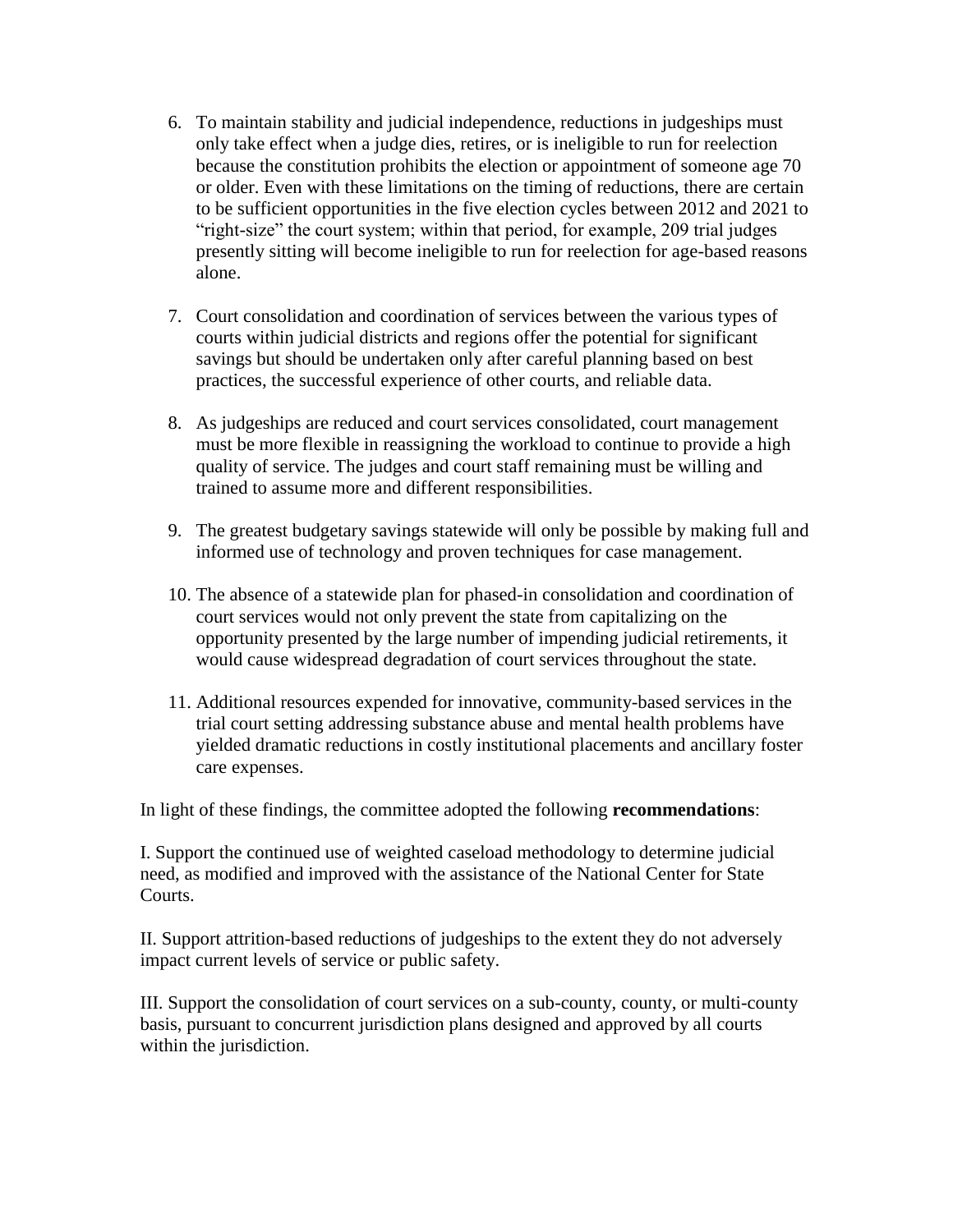- 6. To maintain stability and judicial independence, reductions in judgeships must only take effect when a judge dies, retires, or is ineligible to run for reelection because the constitution prohibits the election or appointment of someone age 70 or older. Even with these limitations on the timing of reductions, there are certain to be sufficient opportunities in the five election cycles between 2012 and 2021 to "right-size" the court system; within that period, for example, 209 trial judges presently sitting will become ineligible to run for reelection for age-based reasons alone.
- 7. Court consolidation and coordination of services between the various types of courts within judicial districts and regions offer the potential for significant savings but should be undertaken only after careful planning based on best practices, the successful experience of other courts, and reliable data.
- 8. As judgeships are reduced and court services consolidated, court management must be more flexible in reassigning the workload to continue to provide a high quality of service. The judges and court staff remaining must be willing and trained to assume more and different responsibilities.
- 9. The greatest budgetary savings statewide will only be possible by making full and informed use of technology and proven techniques for case management.
- 10. The absence of a statewide plan for phased-in consolidation and coordination of court services would not only prevent the state from capitalizing on the opportunity presented by the large number of impending judicial retirements, it would cause widespread degradation of court services throughout the state.
- 11. Additional resources expended for innovative, community-based services in the trial court setting addressing substance abuse and mental health problems have yielded dramatic reductions in costly institutional placements and ancillary foster care expenses.

In light of these findings, the committee adopted the following **recommendations**:

I. Support the continued use of weighted caseload methodology to determine judicial need, as modified and improved with the assistance of the National Center for State Courts.

II. Support attrition-based reductions of judgeships to the extent they do not adversely impact current levels of service or public safety.

III. Support the consolidation of court services on a sub-county, county, or multi-county basis, pursuant to concurrent jurisdiction plans designed and approved by all courts within the jurisdiction.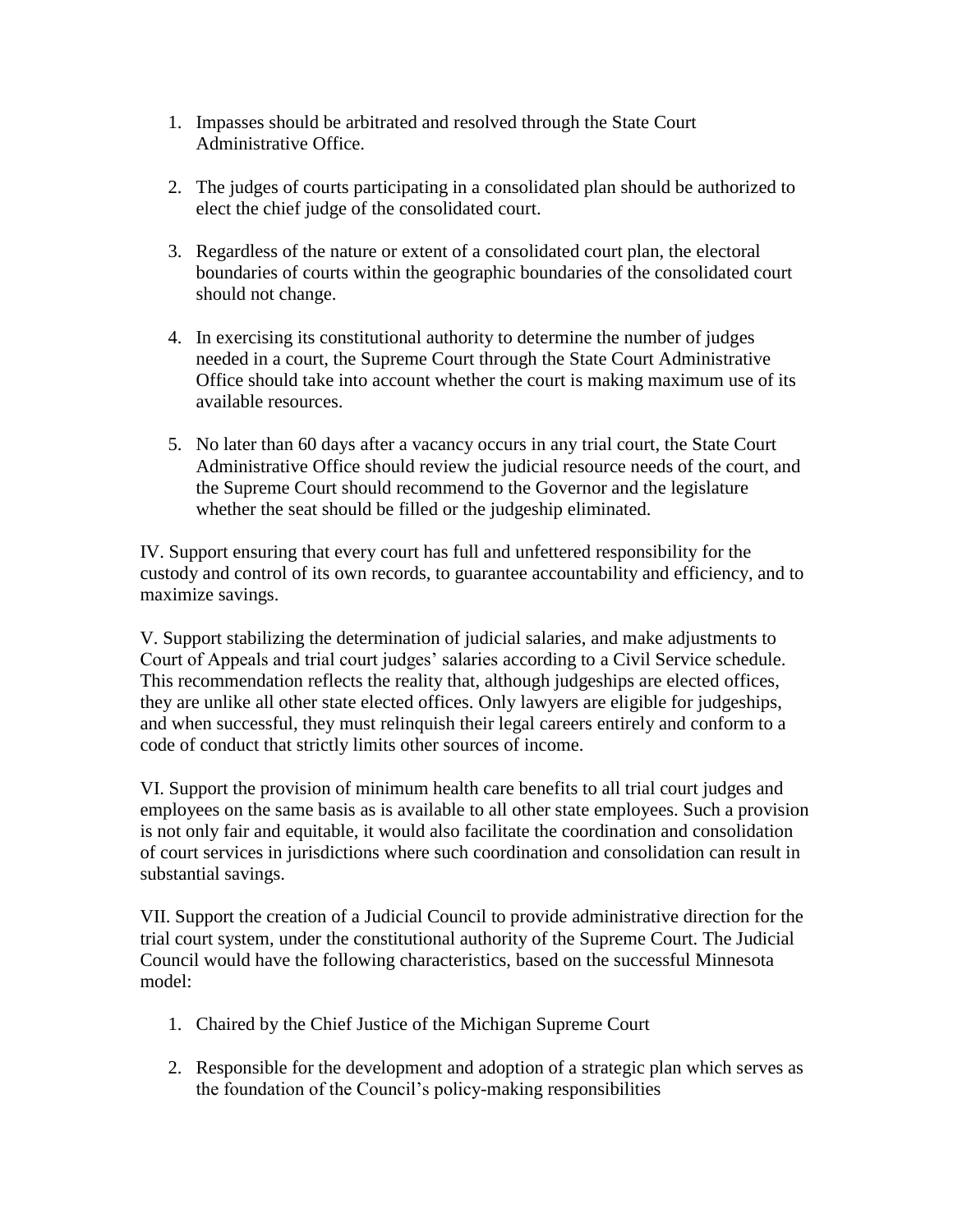- 1. Impasses should be arbitrated and resolved through the State Court Administrative Office.
- 2. The judges of courts participating in a consolidated plan should be authorized to elect the chief judge of the consolidated court.
- 3. Regardless of the nature or extent of a consolidated court plan, the electoral boundaries of courts within the geographic boundaries of the consolidated court should not change.
- 4. In exercising its constitutional authority to determine the number of judges needed in a court, the Supreme Court through the State Court Administrative Office should take into account whether the court is making maximum use of its available resources.
- 5. No later than 60 days after a vacancy occurs in any trial court, the State Court Administrative Office should review the judicial resource needs of the court, and the Supreme Court should recommend to the Governor and the legislature whether the seat should be filled or the judgeship eliminated.

IV. Support ensuring that every court has full and unfettered responsibility for the custody and control of its own records, to guarantee accountability and efficiency, and to maximize savings.

V. Support stabilizing the determination of judicial salaries, and make adjustments to Court of Appeals and trial court judges' salaries according to a Civil Service schedule. This recommendation reflects the reality that, although judgeships are elected offices, they are unlike all other state elected offices. Only lawyers are eligible for judgeships, and when successful, they must relinquish their legal careers entirely and conform to a code of conduct that strictly limits other sources of income.

VI. Support the provision of minimum health care benefits to all trial court judges and employees on the same basis as is available to all other state employees. Such a provision is not only fair and equitable, it would also facilitate the coordination and consolidation of court services in jurisdictions where such coordination and consolidation can result in substantial savings.

VII. Support the creation of a Judicial Council to provide administrative direction for the trial court system, under the constitutional authority of the Supreme Court. The Judicial Council would have the following characteristics, based on the successful Minnesota model:

- 1. Chaired by the Chief Justice of the Michigan Supreme Court
- 2. Responsible for the development and adoption of a strategic plan which serves as the foundation of the Council's policy-making responsibilities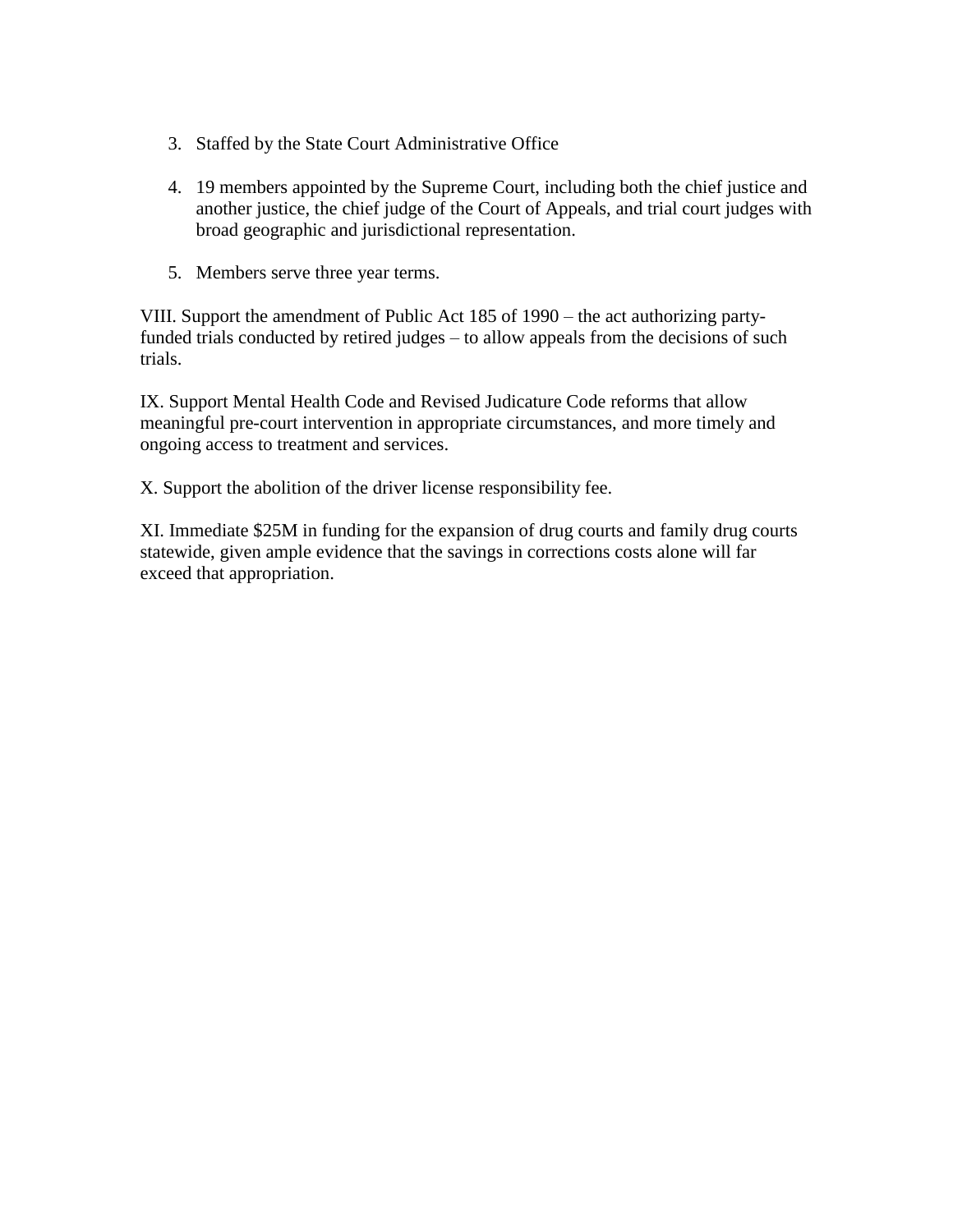- 3. Staffed by the State Court Administrative Office
- 4. 19 members appointed by the Supreme Court, including both the chief justice and another justice, the chief judge of the Court of Appeals, and trial court judges with broad geographic and jurisdictional representation.
- 5. Members serve three year terms.

VIII. Support the amendment of Public Act 185 of 1990 – the act authorizing partyfunded trials conducted by retired judges – to allow appeals from the decisions of such trials.

IX. Support Mental Health Code and Revised Judicature Code reforms that allow meaningful pre-court intervention in appropriate circumstances, and more timely and ongoing access to treatment and services.

X. Support the abolition of the driver license responsibility fee.

XI. Immediate \$25M in funding for the expansion of drug courts and family drug courts statewide, given ample evidence that the savings in corrections costs alone will far exceed that appropriation.